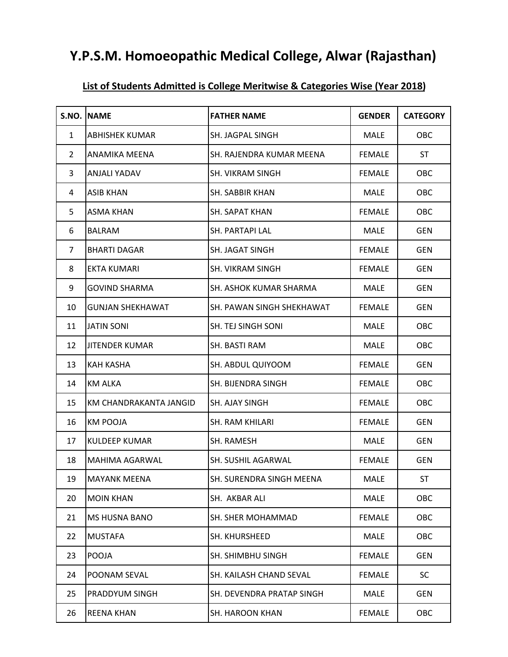## **Y.P.S.M. Homoeopathic Medical College, Alwar (Rajasthan)**

| S.NO.          | <b>NAME</b>             | <b>FATHER NAME</b>        | <b>GENDER</b> | <b>CATEGORY</b> |
|----------------|-------------------------|---------------------------|---------------|-----------------|
| $\mathbf{1}$   | <b>ABHISHEK KUMAR</b>   | SH. JAGPAL SINGH          | <b>MALE</b>   | OBC             |
| $\overline{2}$ | ANAMIKA MEENA           | SH. RAJENDRA KUMAR MEENA  | <b>FEMALE</b> | <b>ST</b>       |
| 3              | <b>ANJALI YADAV</b>     | SH. VIKRAM SINGH          | <b>FEMALE</b> | OBC             |
| 4              | <b>ASIB KHAN</b>        | SH. SABBIR KHAN           | <b>MALE</b>   | OBC             |
| 5              | <b>ASMA KHAN</b>        | SH. SAPAT KHAN            | <b>FEMALE</b> | OBC             |
| 6              | <b>BALRAM</b>           | SH. PARTAPI LAL           | <b>MALE</b>   | <b>GEN</b>      |
| $\overline{7}$ | <b>BHARTI DAGAR</b>     | SH. JAGAT SINGH           | <b>FEMALE</b> | <b>GEN</b>      |
| 8              | <b>EKTA KUMARI</b>      | SH. VIKRAM SINGH          | <b>FEMALE</b> | <b>GEN</b>      |
| 9              | <b>GOVIND SHARMA</b>    | SH. ASHOK KUMAR SHARMA    | MALE          | <b>GEN</b>      |
| 10             | <b>GUNJAN SHEKHAWAT</b> | SH. PAWAN SINGH SHEKHAWAT | <b>FEMALE</b> | <b>GEN</b>      |
| 11             | <b>JATIN SONI</b>       | SH. TEJ SINGH SONI        | <b>MALE</b>   | OBC             |
| 12             | <b>JITENDER KUMAR</b>   | SH. BASTI RAM             | <b>MALE</b>   | OBC             |
| 13             | <b>KAH KASHA</b>        | SH. ABDUL QUIYOOM         | <b>FEMALE</b> | <b>GEN</b>      |
| 14             | <b>KM ALKA</b>          | SH. BIJENDRA SINGH        | <b>FEMALE</b> | OBC             |
| 15             | KM CHANDRAKANTA JANGID  | SH. AJAY SINGH            | <b>FEMALE</b> | OBC             |
| 16             | <b>KM POOJA</b>         | SH. RAM KHILARI           | <b>FEMALE</b> | <b>GEN</b>      |
| 17             | <b>KULDEEP KUMAR</b>    | SH. RAMESH                | <b>MALE</b>   | <b>GEN</b>      |
| 18             | MAHIMA AGARWAL          | SH. SUSHIL AGARWAL        | <b>FEMALE</b> | <b>GEN</b>      |
| 19             | <b>MAYANK MEENA</b>     | SH. SURENDRA SINGH MEENA  | <b>MALE</b>   | <b>ST</b>       |
| 20             | <b>MOIN KHAN</b>        | SH. AKBAR ALI             | <b>MALE</b>   | OBC             |
| 21             | <b>MS HUSNA BANO</b>    | SH. SHER MOHAMMAD         | <b>FEMALE</b> | OBC             |
| 22             | <b>MUSTAFA</b>          | SH. KHURSHEED             | <b>MALE</b>   | OBC             |
| 23             | POOJA                   | SH. SHIMBHU SINGH         | <b>FEMALE</b> | <b>GEN</b>      |
| 24             | POONAM SEVAL            | SH. KAILASH CHAND SEVAL   | <b>FEMALE</b> | <b>SC</b>       |
| 25             | PRADDYUM SINGH          | SH. DEVENDRA PRATAP SINGH | <b>MALE</b>   | <b>GEN</b>      |
| 26             | <b>REENA KHAN</b>       | SH. HAROON KHAN           | <b>FEMALE</b> | OBC             |

 $\mathsf{L}$ 

## **List of Students Admitted is College Meritwise & Categories Wise (Year 2018)**